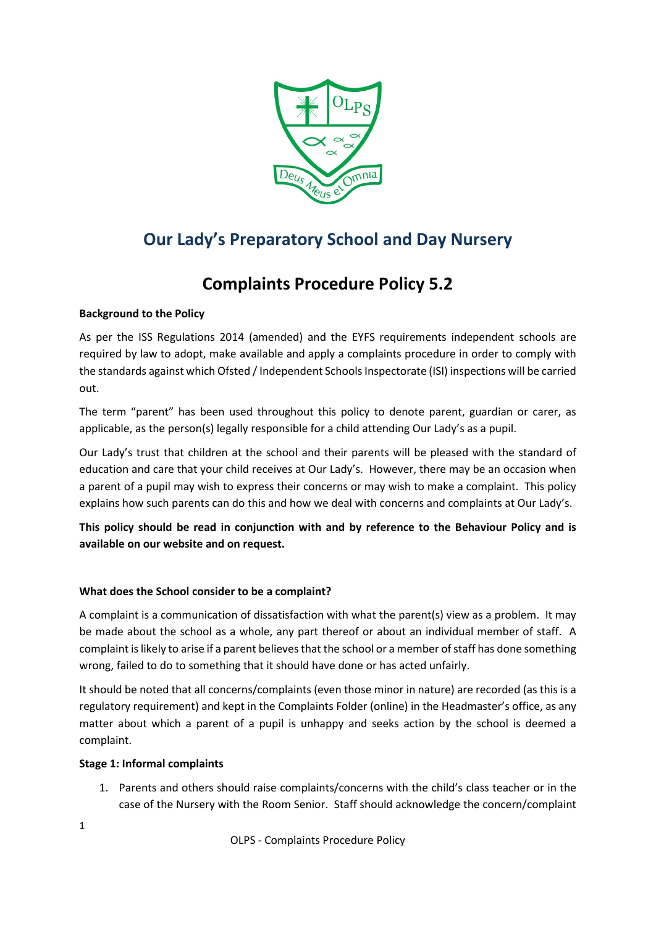

# **Our Lady's Preparatory School and Day Nursery**

# **Complaints Procedure Policy 5.2**

## **Background to the Policy**

As per the ISS Regulations 2014 (amended) and the EYFS requirements independent schools are required by law to adopt, make available and apply a complaints procedure in order to comply with the standards against which Ofsted / Independent Schools Inspectorate (ISI) inspections will be carried out.

The term "parent" has been used throughout this policy to denote parent, guardian or carer, as applicable, as the person(s) legally responsible for a child attending Our Lady's as a pupil.

Our Lady's trust that children at the school and their parents will be pleased with the standard of education and care that your child receives at Our Lady's. However, there may be an occasion when a parent of a pupil may wish to express their concerns or may wish to make a complaint. This policy explains how such parents can do this and how we deal with concerns and complaints at Our Lady's.

**This policy should be read in conjunction with and by reference to the Behaviour Policy and is available on our website and on request.**

## **What does the School consider to be a complaint?**

A complaint is a communication of dissatisfaction with what the parent(s) view as a problem. It may be made about the school as a whole, any part thereof or about an individual member of staff. A complaint is likely to arise if a parent believes that the school or a member of staff has done something wrong, failed to do to something that it should have done or has acted unfairly.

It should be noted that all concerns/complaints (even those minor in nature) are recorded (as this is a regulatory requirement) and kept in the Complaints Folder (online) in the Headmaster's office, as any matter about which a parent of a pupil is unhappy and seeks action by the school is deemed a complaint.

### **Stage 1: Informal complaints**

1. Parents and others should raise complaints/concerns with the child's class teacher or in the case of the Nursery with the Room Senior. Staff should acknowledge the concern/complaint

1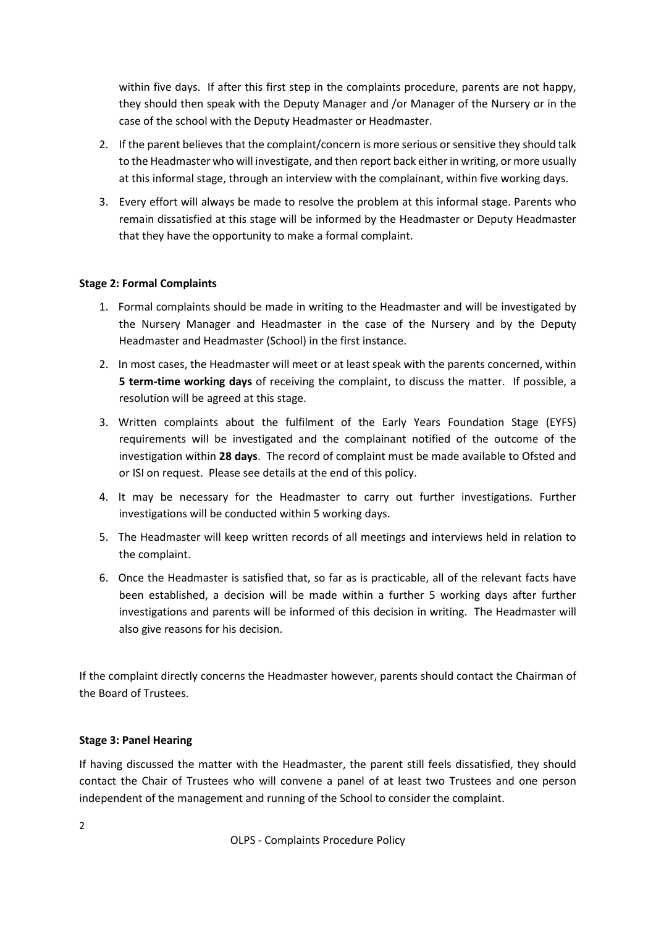within five days. If after this first step in the complaints procedure, parents are not happy, they should then speak with the Deputy Manager and /or Manager of the Nursery or in the case of the school with the Deputy Headmaster or Headmaster.

- 2. If the parent believes that the complaint/concern is more serious or sensitive they should talk to the Headmaster who will investigate, and then report back either in writing, or more usually at this informal stage, through an interview with the complainant, within five working days.
- 3. Every effort will always be made to resolve the problem at this informal stage. Parents who remain dissatisfied at this stage will be informed by the Headmaster or Deputy Headmaster that they have the opportunity to make a formal complaint.

### **Stage 2: Formal Complaints**

- 1. Formal complaints should be made in writing to the Headmaster and will be investigated by the Nursery Manager and Headmaster in the case of the Nursery and by the Deputy Headmaster and Headmaster (School) in the first instance.
- 2. In most cases, the Headmaster will meet or at least speak with the parents concerned, within **5 term-time working days** of receiving the complaint, to discuss the matter. If possible, a resolution will be agreed at this stage.
- 3. Written complaints about the fulfilment of the Early Years Foundation Stage (EYFS) requirements will be investigated and the complainant notified of the outcome of the investigation within **28 days**. The record of complaint must be made available to Ofsted and or ISI on request. Please see details at the end of this policy.
- 4. It may be necessary for the Headmaster to carry out further investigations. Further investigations will be conducted within 5 working days.
- 5. The Headmaster will keep written records of all meetings and interviews held in relation to the complaint.
- 6. Once the Headmaster is satisfied that, so far as is practicable, all of the relevant facts have been established, a decision will be made within a further 5 working days after further investigations and parents will be informed of this decision in writing. The Headmaster will also give reasons for his decision.

If the complaint directly concerns the Headmaster however, parents should contact the Chairman of the Board of Trustees.

#### **Stage 3: Panel Hearing**

If having discussed the matter with the Headmaster, the parent still feels dissatisfied, they should contact the Chair of Trustees who will convene a panel of at least two Trustees and one person independent of the management and running of the School to consider the complaint.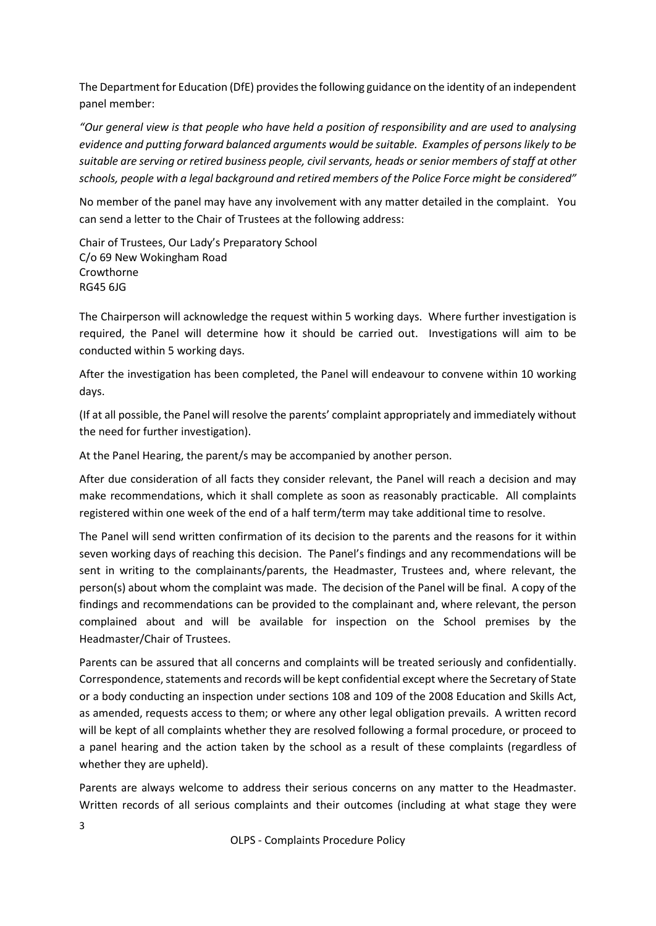The Department for Education (DfE) provides the following guidance on the identity of an independent panel member:

*"Our general view is that people who have held a position of responsibility and are used to analysing evidence and putting forward balanced arguments would be suitable. Examples of persons likely to be suitable are serving or retired business people, civil servants, heads or senior members of staff at other schools, people with a legal background and retired members of the Police Force might be considered"*

No member of the panel may have any involvement with any matter detailed in the complaint. You can send a letter to the Chair of Trustees at the following address:

Chair of Trustees, Our Lady's Preparatory School C/o 69 New Wokingham Road Crowthorne RG45 6JG

The Chairperson will acknowledge the request within 5 working days. Where further investigation is required, the Panel will determine how it should be carried out. Investigations will aim to be conducted within 5 working days.

After the investigation has been completed, the Panel will endeavour to convene within 10 working days.

(If at all possible, the Panel will resolve the parents' complaint appropriately and immediately without the need for further investigation).

At the Panel Hearing, the parent/s may be accompanied by another person.

After due consideration of all facts they consider relevant, the Panel will reach a decision and may make recommendations, which it shall complete as soon as reasonably practicable. All complaints registered within one week of the end of a half term/term may take additional time to resolve.

The Panel will send written confirmation of its decision to the parents and the reasons for it within seven working days of reaching this decision. The Panel's findings and any recommendations will be sent in writing to the complainants/parents, the Headmaster, Trustees and, where relevant, the person(s) about whom the complaint was made. The decision of the Panel will be final. A copy of the findings and recommendations can be provided to the complainant and, where relevant, the person complained about and will be available for inspection on the School premises by the Headmaster/Chair of Trustees.

Parents can be assured that all concerns and complaints will be treated seriously and confidentially. Correspondence, statements and records will be kept confidential except where the Secretary of State or a body conducting an inspection under sections 108 and 109 of the 2008 Education and Skills Act, as amended, requests access to them; or where any other legal obligation prevails. A written record will be kept of all complaints whether they are resolved following a formal procedure, or proceed to a panel hearing and the action taken by the school as a result of these complaints (regardless of whether they are upheld).

Parents are always welcome to address their serious concerns on any matter to the Headmaster. Written records of all serious complaints and their outcomes (including at what stage they were

OLPS - Complaints Procedure Policy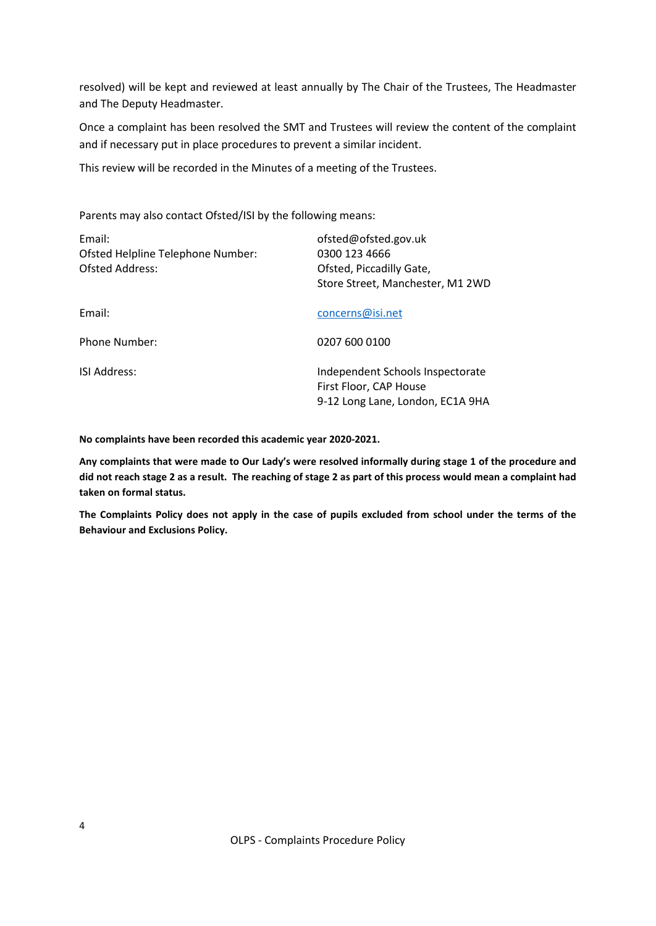resolved) will be kept and reviewed at least annually by The Chair of the Trustees, The Headmaster and The Deputy Headmaster.

Once a complaint has been resolved the SMT and Trustees will review the content of the complaint and if necessary put in place procedures to prevent a similar incident.

This review will be recorded in the Minutes of a meeting of the Trustees.

Parents may also contact Ofsted/ISI by the following means:

| Email:<br>Ofsted Helpline Telephone Number:<br><b>Ofsted Address:</b> | ofsted@ofsted.gov.uk<br>0300 123 4666<br>Ofsted, Piccadilly Gate,<br>Store Street, Manchester, M1 2WD |
|-----------------------------------------------------------------------|-------------------------------------------------------------------------------------------------------|
| Email:                                                                | concerns@isi.net                                                                                      |
| <b>Phone Number:</b>                                                  | 0207 600 0100                                                                                         |
| <b>ISI Address:</b>                                                   | Independent Schools Inspectorate<br>First Floor, CAP House<br>9-12 Long Lane, London, EC1A 9HA        |

**No complaints have been recorded this academic year 2020-2021.**

**Any complaints that were made to Our Lady's were resolved informally during stage 1 of the procedure and did not reach stage 2 as a result. The reaching of stage 2 as part of this process would mean a complaint had taken on formal status.**

**The Complaints Policy does not apply in the case of pupils excluded from school under the terms of the Behaviour and Exclusions Policy.**